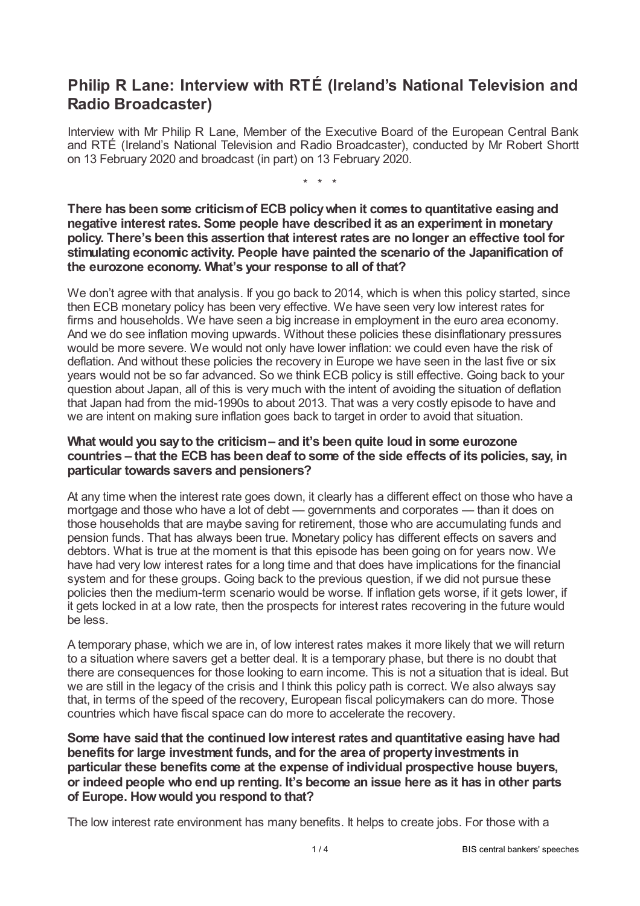# **Philip R Lane: Interview with RTÉ (Ireland's National Television and Radio Broadcaster)**

Interview with Mr Philip R Lane, Member of the Executive Board of the European Central Bank, and RTÉ (Ireland's National Television and Radio Broadcaster), conducted by Mr Robert Shortt on 13 February 2020 and broadcast (in part) on 13 February 2020.

\* \* \*

**There has been some criticismof ECB policywhen it comes to quantitative easing and negative interest rates. Some people have described it as an experiment in monetary policy. There's been this assertion that interest rates are no longer an effective tool for stimulating economic activity. People have painted the scenario of the Japanification of the eurozone economy. What's your response to all of that?**

We don't agree with that analysis. If you go back to 2014, which is when this policy started, since then ECB monetary policy has been very effective. We have seen very low interest rates for firms and households. We have seen a big increase in employment in the euro area economy. And we do see inflation moving upwards. Without these policies these disinflationary pressures would be more severe. We would not only have lower inflation: we could even have the risk of deflation. And without these policies the recovery in Europe we have seen in the last five or six years would not be so far advanced. So we think ECB policy is still effective. Going back to your question about Japan, all of this is very much with the intent of avoiding the situation of deflation that Japan had from the mid-1990s to about 2013. That was a very costly episode to have and we are intent on making sure inflation goes back to target in order to avoid that situation.

## **What would you sayto the criticism– and it's been quite loud in some eurozone countries – that the ECB has been deaf to some of the side effects of its policies, say, in particular towards savers and pensioners?**

At any time when the interest rate goes down, it clearly has a different effect on those who have a mortgage and those who have a lot of debt — governments and corporates — than it does on those households that are maybe saving for retirement, those who are accumulating funds and pension funds. That has always been true. Monetary policy has different effects on savers and debtors. What is true at the moment is that this episode has been going on for years now. We have had very low interest rates for a long time and that does have implications for the financial system and for these groups. Going back to the previous question, if we did not pursue these policies then the medium-term scenario would be worse. If inflation gets worse, if it gets lower, if it gets locked in at a low rate, then the prospects for interest rates recovering in the future would be less.

A temporary phase, which we are in, of low interest rates makes it more likely that we will return to a situation where savers get a better deal. It is a temporary phase, but there is no doubt that there are consequences for those looking to earn income. This is not a situation that is ideal. But we are still in the legacy of the crisis and I think this policy path is correct. We also always say that, in terms of the speed of the recovery, European fiscal policymakers can do more. Those countries which have fiscal space can do more to accelerate the recovery.

**Some have said that the continued lowinterest rates and quantitative easing have had benefits for large investment funds, and for the area of propertyinvestments in particular these benefits come at the expense of individual prospective house buyers, or indeed people who end up renting. It's become an issue here as it has in other parts of Europe. Howwould you respond to that?**

The low interest rate environment has many benefits. It helps to create jobs. For those with a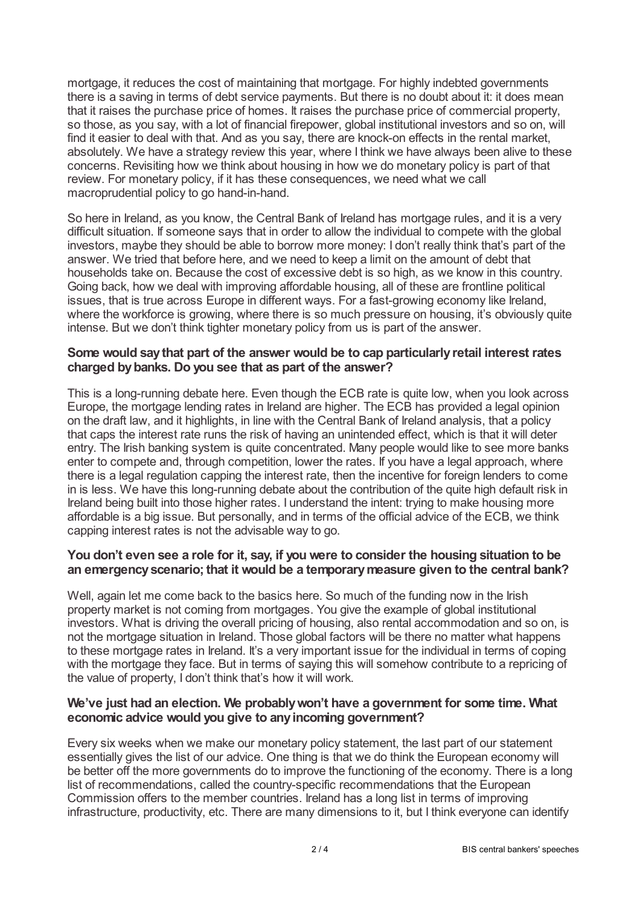mortgage, it reduces the cost of maintaining that mortgage. For highly indebted governments there is a saving in terms of debt service payments. But there is no doubt about it: it does mean that it raises the purchase price of homes. It raises the purchase price of commercial property, so those, as you say, with a lot of financial firepower, global institutional investors and so on, will find it easier to deal with that. And as you say, there are knock-on effects in the rental market, absolutely. We have a strategy review this year, where I think we have always been alive to these concerns. Revisiting how we think about housing in how we do monetary policy is part of that review. For monetary policy, if it has these consequences, we need what we call macroprudential policy to go hand-in-hand.

So here in Ireland, as you know, the Central Bank of Ireland has mortgage rules, and it is a very difficult situation. If someone says that in order to allow the individual to compete with the global investors, maybe they should be able to borrow more money: I don't really think that's part of the answer. We tried that before here, and we need to keep a limit on the amount of debt that households take on. Because the cost of excessive debt is so high, as we know in this country. Going back, how we deal with improving affordable housing, all of these are frontline political issues, that is true across Europe in different ways. For a fast-growing economy like Ireland, where the workforce is growing, where there is so much pressure on housing, it's obviously quite intense. But we don't think tighter monetary policy from us is part of the answer.

#### **Some would saythat part of the answer would be to cap particularlyretail interest rates charged bybanks. Do you see that as part of the answer?**

This is a long-running debate here. Even though the ECB rate is quite low, when you look across Europe, the mortgage lending rates in Ireland are higher. The ECB has provided a legal opinion on the draft law, and it highlights, in line with the Central Bank of Ireland analysis, that a policy that caps the interest rate runs the risk of having an unintended effect, which is that it will deter entry. The Irish banking system is quite concentrated. Many people would like to see more banks enter to compete and, through competition, lower the rates. If you have a legal approach, where there is a legal regulation capping the interest rate, then the incentive for foreign lenders to come in is less. We have this long-running debate about the contribution of the quite high default risk in Ireland being built into those higher rates. I understand the intent: trying to make housing more affordable is a big issue. But personally, and in terms of the official advice of the ECB, we think capping interest rates is not the advisable way to go.

## **You don't even see a role for it, say, if you were to consider the housing situation to be an emergencyscenario; that it would be a temporarymeasure given to the central bank?**

Well, again let me come back to the basics here. So much of the funding now in the Irish property market is not coming from mortgages. You give the example of global institutional investors. What is driving the overall pricing of housing, also rental accommodation and so on, is not the mortgage situation in Ireland. Those global factors will be there no matter what happens to these mortgage rates in Ireland. It's a very important issue for the individual in terms of coping with the mortgage they face. But in terms of saying this will somehow contribute to a repricing of the value of property, I don't think that's how it will work.

## **We've just had an election. We probablywon't have a government for some time. What economic advice would you give to anyincoming government?**

Every six weeks when we make our monetary policy statement, the last part of our statement essentially gives the list of our advice. One thing is that we do think the European economy will be better off the more governments do to improve the functioning of the economy. There is a long list of recommendations, called the country-specific recommendations that the European Commission offers to the member countries. Ireland has a long list in terms of improving infrastructure, productivity, etc. There are many dimensions to it, but I think everyone can identify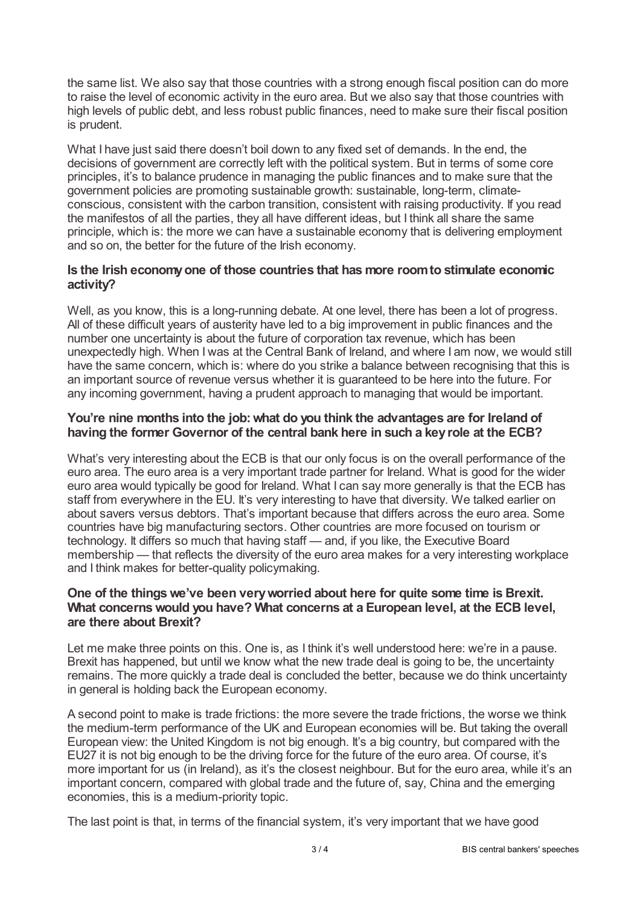the same list. We also say that those countries with a strong enough fiscal position can do more to raise the level of economic activity in the euro area. But we also say that those countries with high levels of public debt, and less robust public finances, need to make sure their fiscal position is prudent.

What I have just said there doesn't boil down to any fixed set of demands. In the end, the decisions of government are correctly left with the political system. But in terms of some core principles, it's to balance prudence in managing the public finances and to make sure that the government policies are promoting sustainable growth: sustainable, long-term, climateconscious, consistent with the carbon transition, consistent with raising productivity. If you read the manifestos of all the parties, they all have different ideas, but I think all share the same principle, which is: the more we can have a sustainable economy that is delivering employment and so on, the better for the future of the Irish economy.

## **Is the Irish economyone of those countries that has more roomto stimulate economic activity?**

Well, as you know, this is a long-running debate. At one level, there has been a lot of progress. All of these difficult years of austerity have led to a big improvement in public finances and the number one uncertainty is about the future of corporation tax revenue, which has been unexpectedly high. When I was at the Central Bank of Ireland, and where I am now, we would still have the same concern, which is: where do you strike a balance between recognising that this is an important source of revenue versus whether it is guaranteed to be here into the future. For any incoming government, having a prudent approach to managing that would be important.

## **You're nine months into the job:what do you think the advantages are for Ireland of having the former Governor of the central bank here in such a keyrole at the ECB?**

What's very interesting about the ECB is that our only focus is on the overall performance of the euro area. The euro area is a very important trade partner for Ireland. What is good for the wider euro area would typically be good for Ireland. What I can say more generally is that the ECB has staff from everywhere in the EU. It's very interesting to have that diversity. We talked earlier on about savers versus debtors. That's important because that differs across the euro area. Some countries have big manufacturing sectors. Other countries are more focused on tourism or technology. It differs so much that having staff — and, if you like, the Executive Board membership — that reflects the diversity of the euro area makes for a very interesting workplace and I think makes for better-quality policymaking.

## **One of the thingswe've been veryworried about here for quite some time is Brexit. What concernswould you have? What concerns at a European level, at the ECB level, are there about Brexit?**

Let me make three points on this. One is, as I think it's well understood here: we're in a pause. Brexit has happened, but until we know what the new trade deal is going to be, the uncertainty remains. The more quickly a trade deal is concluded the better, because we do think uncertainty in general is holding back the European economy.

A second point to make is trade frictions: the more severe the trade frictions, the worse we think the medium-term performance of the UK and European economies will be. But taking the overall European view: the United Kingdom is not big enough. It's a big country, but compared with the EU27 it is not big enough to be the driving force for the future of the euro area. Of course, it's more important for us (in Ireland), as it's the closest neighbour. But for the euro area, while it's an important concern, compared with global trade and the future of, say, China and the emerging economies, this is a medium-priority topic.

The last point is that, in terms of the financial system, it's very important that we have good